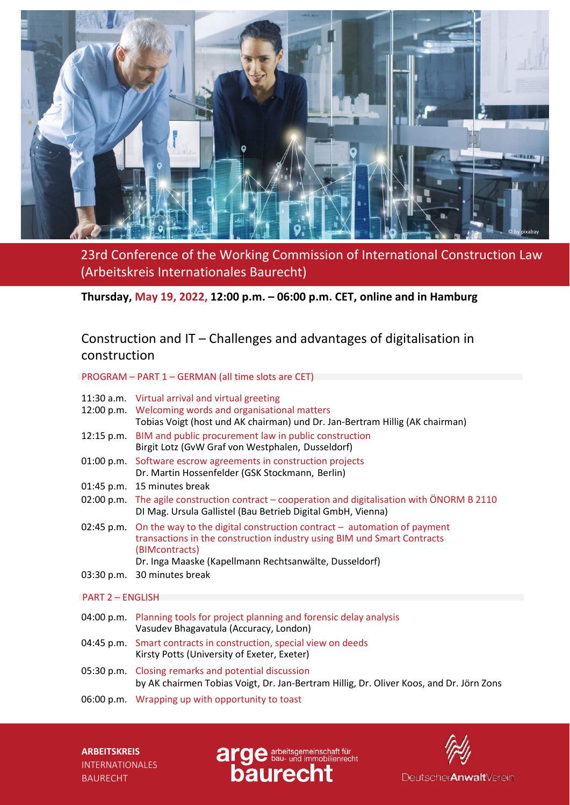

23rd Conference of the Working Commission of International Construction Law (Arbeitskreis Internationales Baurecht)

**Thursday, May 19, 2022, 12:00 p.m. – 06:00 p.m. CET, online and in Hamburg**

# Construction and IT – Challenges and advantages of digitalisation in construction

### PROGRAM – PART 1 – GERMAN (all time slots are CET)

| 11:30 a.m. Virtual arrival and virtual greeting       |
|-------------------------------------------------------|
| 12:00 $\mu$ m Welcoming words and organisational matt |

- 12:00 p.m. Welcoming words and organisational matters Tobias Voigt (host und AK chairman) und Dr. Jan-Bertram Hillig (AK chairman)
- 12:15 p.m. BIM and public procurement law in public construction Birgit Lotz (GvW Graf von Westphalen, Dusseldorf)
- 01:00 p.m. Software escrow agreements in construction projects Dr. Martin Hossenfelder (GSK Stockmann, Berlin)
- 01:45 p.m. 15 minutes break
- 02:00 p.m. The agile construction contract cooperation and digitalisation with ÖNORM B 2110 DI Mag. Ursula Gallistel (Bau Betrieb Digital GmbH, Vienna)
- 02:45 p.m. On the way to the digital construction contract automation of payment transactions in the construction industry using BIM und Smart Contracts (BIMcontracts) Dr. Inga Maaske (Kapellmann Rechtsanwälte, Dusseldorf)
- 03:30 p.m. 30 minutes break

### PART 2 – ENGLISH

- 04:00 p.m. Planning tools for project planning and forensic delay analysis Vasudev Bhagavatula (Accuracy, London)
- 04:45 p.m. Smart contracts in construction, special view on deeds Kirsty Potts (University of Exeter, Exeter)
- 05:30 p.m. Closing remarks and potential discussion by AK chairmen Tobias Voigt, Dr. Jan-Bertram Hillig, Dr. Oliver Koos, and Dr. Jörn Zons
- 06:00 p.m. Wrapping up with opportunity to toast



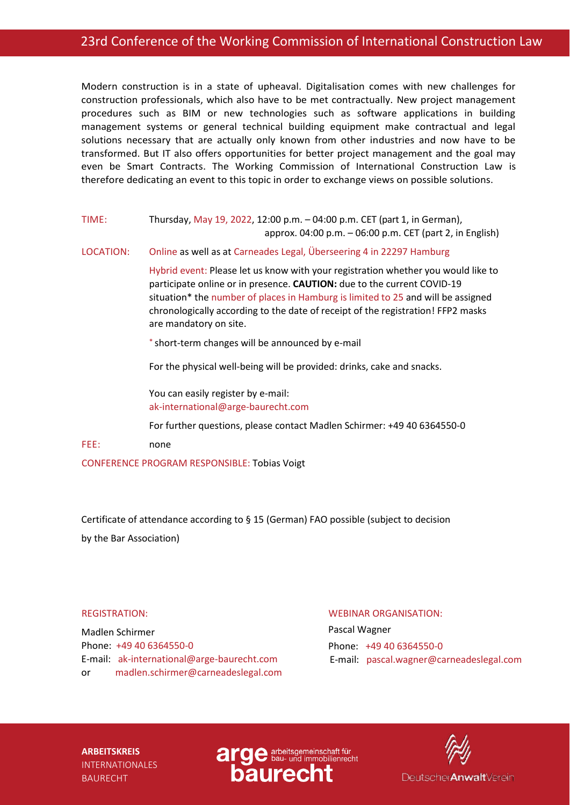Modern construction is in a state of upheaval. Digitalisation comes with new challenges for construction professionals, which also have to be met contractually. New project management procedures such as BIM or new technologies such as software applications in building management systems or general technical building equipment make contractual and legal solutions necessary that are actually only known from other industries and now have to be transformed. But IT also offers opportunities for better project management and the goal may even be Smart Contracts. The Working Commission of International Construction Law is therefore dedicating an event to this topic in order to exchange views on possible solutions.

TIME: Thursday, May 19, 2022, 12:00 p.m. – 04:00 p.m. CET (part 1, in German), approx. 04:00 p.m. – 06:00 p.m. CET (part 2, in English)

LOCATION: Online as well as at Carneades Legal, Überseering 4 in 22297 Hamburg

Hybrid event: Please let us know with your registration whether you would like to participate online or in presence. **CAUTION:** due to the current COVID-19 situation\* the number of places in Hamburg is limited to 25 and will be assigned chronologically according to the date of receipt of the registration! FFP2 masks are mandatory on site.

\* short-term changes will be announced by e-mail

For the physical well-being will be provided: drinks, cake and snacks.

You can easily register by e-mail: [ak-international@arge-baurecht.com](mailto:ak-international@arge-baurecht.com)

For further questions, please contact Madlen Schirmer: +49 40 6364550-0

FEE: none

CONFERENCE PROGRAM RESPONSIBLE: Tobias Voigt

Certificate of attendance according to § 15 (German) FAO possible (subject to decision by the Bar Association)

### REGISTRATION:

Madlen Schirmer Phone: +49 40 6364550-0 E-mail: ak-international@arge-baurecht.com or madlen.schirmer@carneadeslegal.com

### WEBINAR ORGANISATION:

Pascal Wagner Phone: +49 40 6364550-0 E-mail: pascal.wagner@carneadeslegal.com



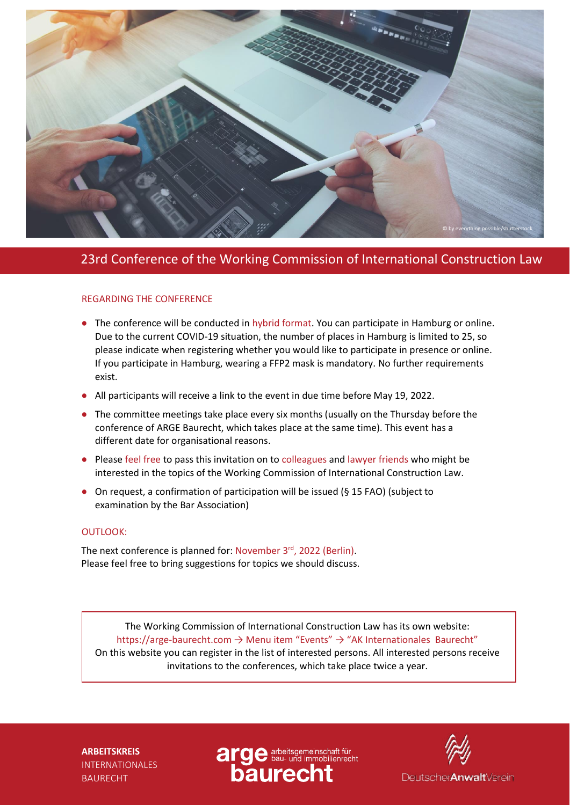

## 23rd Conference of the Working Commission of International Construction Law

### REGARDING THE CONFERENCE

- The conference will be conducted in hybrid format. You can participate in Hamburg or online. Due to the current COVID-19 situation, the number of places in Hamburg is limited to 25, so please indicate when registering whether you would like to participate in presence or online. If you participate in Hamburg, wearing a FFP2 mask is mandatory. No further requirements exist.
- All participants will receive a link to the event in due time before May 19, 2022.
- The committee meetings take place every six months (usually on the Thursday before the conference of ARGE Baurecht, which takes place at the same time). This event has a different date for organisational reasons.
- Please feel free to pass this invitation on to colleagues and lawyer friends who might be interested in the topics of the Working Commission of International Construction Law.
- On request, a confirmation of participation will be issued (§ 15 FAO) (subject to examination by the Bar Association)

### OUTLOOK:

The next conference is planned for: November 3<sup>rd</sup>, 2022 (Berlin). Please feel free to bring suggestions for topics we should discuss.

The Working Commission of International Construction Law has its own website: https://arge-baurecht.com → Menu item "Events" → "AK Internationales Baurecht" On this website you can register in the list of interested persons. All interested persons receive invitations to the conferences, which take place twice a year.



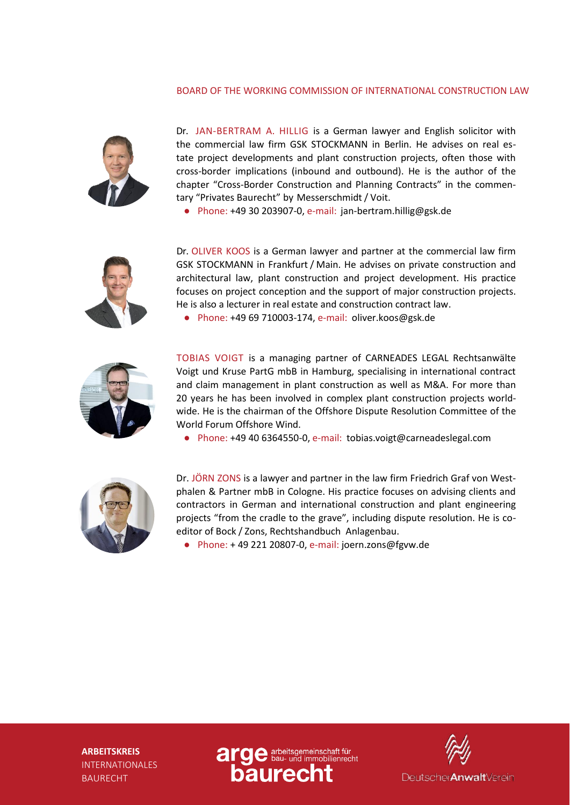### BOARD OF THE WORKING COMMISSION OF INTERNATIONAL CONSTRUCTION LAW



Dr. JAN-BERTRAM A. HILLIG is a German lawyer and English solicitor with the commercial law firm GSK STOCKMANN in Berlin. He advises on real estate project developments and plant construction projects, often those with cross-border implications (inbound and outbound). He is the author of the chapter "Cross-Border Construction and Planning Contracts" in the commentary "Privates Baurecht" by Messerschmidt / Voit.

● Phone: +49 30 203907-0, e-mail: [jan-bertr](mailto:jan-bertram.hillig@gsk.de)[am.hillig@gsk.de](mailto:am.hillig@gsk.de)



Dr. OLIVER KOOS is a German lawyer and partner at the commercial law firm GSK STOCKMANN in Frankfurt / Main. He advises on private construction and architectural law, plant construction and project development. His practice focuses on project conception and the support of major construction projects. He is also a lecturer in real estate and construction contract law.

● Phone: +49 69 710003-174, e-mail: oliver.[koos@gsk.de](mailto:oos@gsk.de)



TOBIAS VOIGT is a managing partner of CARNEADES LEGAL Rechtsanwälte Voigt und Kruse PartG mbB in Hamburg, specialising in international contract and claim management in plant construction as well as M&A. For more than 20 years he has been involved in complex plant construction projects worldwide. He is the chairman of the Offshore Dispute Resolution Committee of the World Forum Offshore Wind.

● Phone: +49 40 6364550-0, e-mail: tobias.voigt@carneadeslegal.com



Dr. JÖRN ZONS is a lawyer and partner in the law firm Friedrich Graf von Westphalen & Partner mbB in Cologne. His practice focuses on advising clients and contractors in German and international construction and plant engineering projects "from the cradle to the grave", including dispute resolution. He is coeditor of Bock / Zons, Rechtshandbuch Anlagenbau.

● Phone: + 49 221 20807-0, e-mail: [joern.zons@fgvw.de](mailto:joern.zons@fgvw.de)